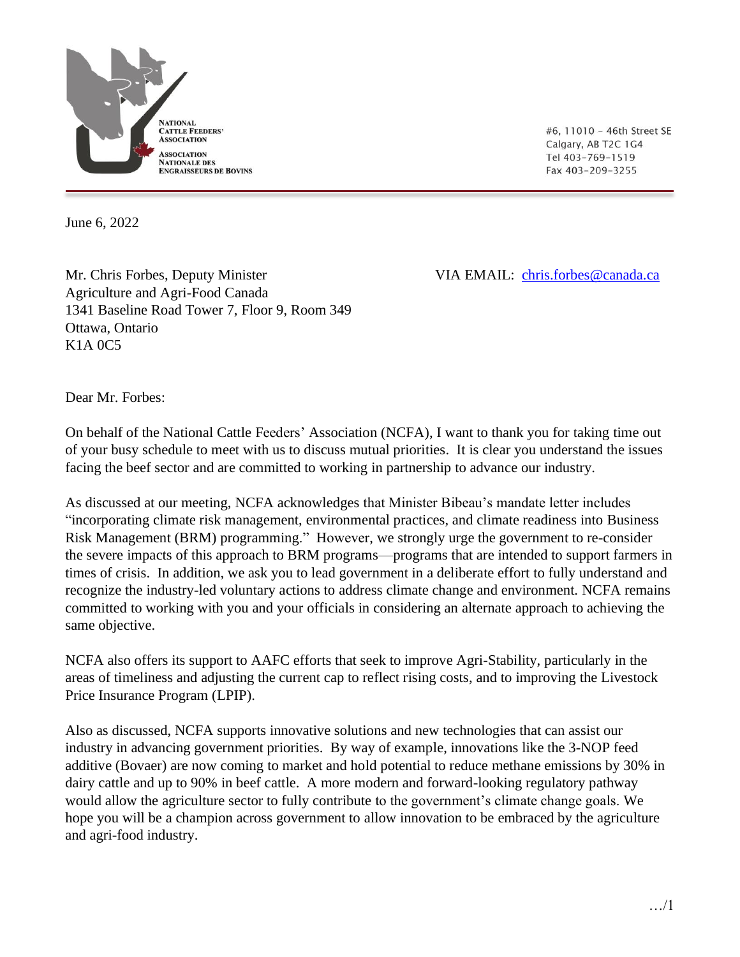

#6, 11010 - 46th Street SE Calgary, AB T2C 1G4 Tel 403-769-1519 Fax 403-209-3255

June 6, 2022

Mr. Chris Forbes, Deputy Minister VIA EMAIL: [chris.forbes@canada.ca](mailto:chris.forbes@canada.ca) Agriculture and Agri-Food Canada 1341 Baseline Road Tower 7, Floor 9, Room 349 Ottawa, Ontario K1A 0C5

Dear Mr. Forbes:

On behalf of the National Cattle Feeders' Association (NCFA), I want to thank you for taking time out of your busy schedule to meet with us to discuss mutual priorities. It is clear you understand the issues facing the beef sector and are committed to working in partnership to advance our industry.

As discussed at our meeting, NCFA acknowledges that Minister Bibeau's mandate letter includes "incorporating climate risk management, environmental practices, and climate readiness into Business Risk Management (BRM) programming." However, we strongly urge the government to re-consider the severe impacts of this approach to BRM programs—programs that are intended to support farmers in times of crisis. In addition, we ask you to lead government in a deliberate effort to fully understand and recognize the industry-led voluntary actions to address climate change and environment. NCFA remains committed to working with you and your officials in considering an alternate approach to achieving the same objective.

NCFA also offers its support to AAFC efforts that seek to improve Agri-Stability, particularly in the areas of timeliness and adjusting the current cap to reflect rising costs, and to improving the Livestock Price Insurance Program (LPIP).

Also as discussed, NCFA supports innovative solutions and new technologies that can assist our industry in advancing government priorities. By way of example, innovations like the 3-NOP feed additive (Bovaer) are now coming to market and hold potential to reduce methane emissions by 30% in dairy cattle and up to 90% in beef cattle. A more modern and forward-looking regulatory pathway would allow the agriculture sector to fully contribute to the government's climate change goals. We hope you will be a champion across government to allow innovation to be embraced by the agriculture and agri-food industry.